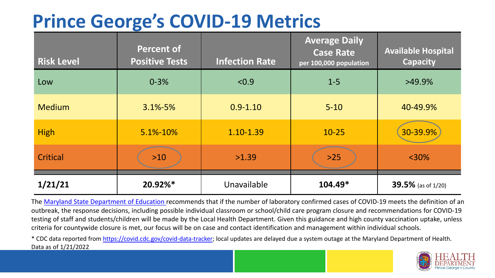## **Prince George's COVID-19 Metrics**

| <b>Risk Level</b> | <b>Percent of</b><br><b>Positive Tests</b> | <b>Infection Rate</b> | <b>Average Daily</b><br><b>Case Rate</b><br>per 100,000 population | <b>Available Hospital</b><br><b>Capacity</b> |
|-------------------|--------------------------------------------|-----------------------|--------------------------------------------------------------------|----------------------------------------------|
| Low               | $0 - 3%$                                   | < 0.9                 | $1 - 5$                                                            | $>49.9\%$                                    |
| <b>Medium</b>     | $3.1\% - 5\%$                              | $0.9 - 1.10$          | $5 - 10$                                                           | 40-49.9%                                     |
| <b>High</b>       | 5.1%-10%                                   | 1.10-1.39             | $10 - 25$                                                          | 30-39.9%                                     |
| Critical          | $>10$                                      | >1.39                 | $>25$                                                              | $<$ 30%                                      |
| 1/21/21           | 20.92%*                                    | Unavailable           | $104.49*$                                                          | 39.5% (as of 1/20)                           |

The [Maryland State Department of Education](https://earlychildhood.marylandpublicschools.org/system/files/filedepot/3/covid_guidance_full_080420.pdf) recommends that if the number of laboratory confirmed cases of COVID-19 meets the definition of an outbreak, the response decisions, including possible individual classroom or school/child care program closure and recommendations for COVID-19 testing of staff and students/children will be made by the Local Health Department. Given this guidance and high county vaccination uptake, unless criteria for countywide closure is met, our focus will be on case and contact identification and management within individual schools.

\* CDC data reported from <https://covid.cdc.gov/covid-data-tracker>; local updates are delayed due a system outage at the Maryland Department of Health. Data as of 1/21/2022

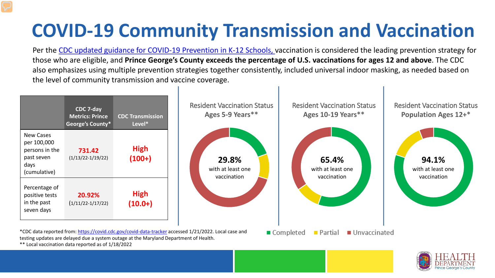## **COVID-19 Community Transmission and Vaccination**

Per the [CDC updated guidance for COVID-19 Prevention in K-12 Schools,](https://www.cdc.gov/coronavirus/2019-ncov/community/schools-childcare/k-12-guidance.html) vaccination is considered the leading prevention strategy for those who are eligible, and **Prince George's County exceeds the percentage of U.S. vaccinations for ages 12 and above**. The CDC also emphasizes using multiple prevention strategies together consistently, included universal indoor masking, as needed based on the level of community transmission and vaccine coverage.